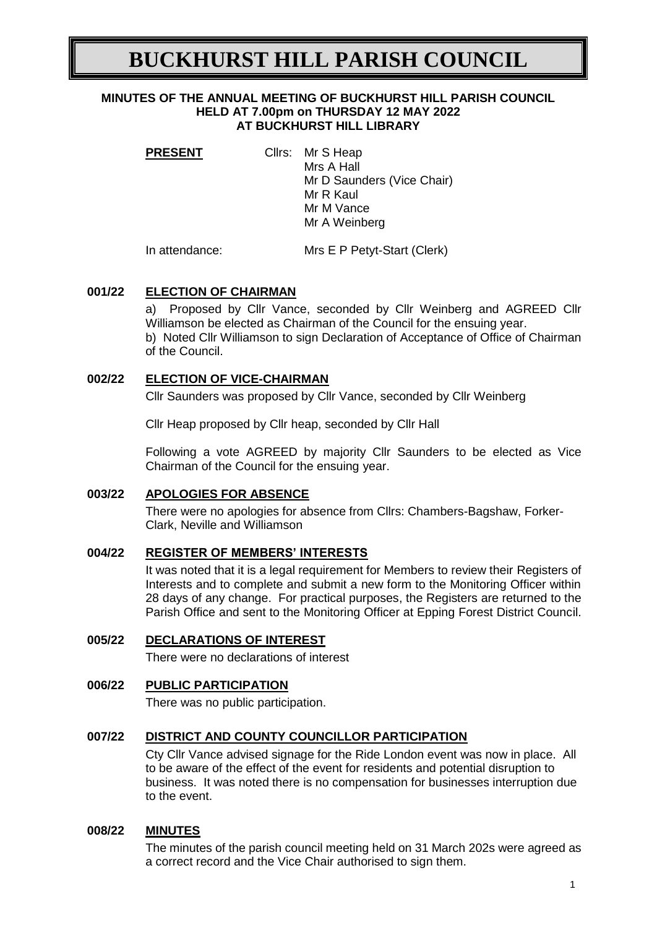# **BUCKHURST HILL PARISH COUNCIL**

#### **MINUTES OF THE ANNUAL MEETING OF BUCKHURST HILL PARISH COUNCIL HELD AT 7.00pm on THURSDAY 12 MAY 2022 AT BUCKHURST HILL LIBRARY**

| <b>PRESENT</b> | Cllrs: Mr S Heap<br>Mrs A Hall<br>Mr D Saunders (Vice Chair)<br>Mr R Kaul |
|----------------|---------------------------------------------------------------------------|
|                | Mr M Vance                                                                |
|                | Mr A Weinberg                                                             |
| .  .           |                                                                           |

In attendance: Mrs E P Petyt-Start (Clerk)

## **001/22 ELECTION OF CHAIRMAN**

a) Proposed by Cllr Vance, seconded by Cllr Weinberg and AGREED Cllr Williamson be elected as Chairman of the Council for the ensuing year. b) Noted Cllr Williamson to sign Declaration of Acceptance of Office of Chairman of the Council.

## **002/22 ELECTION OF VICE-CHAIRMAN**

Cllr Saunders was proposed by Cllr Vance, seconded by Cllr Weinberg

Cllr Heap proposed by Cllr heap, seconded by Cllr Hall

Following a vote AGREED by majority Cllr Saunders to be elected as Vice Chairman of the Council for the ensuing year.

## **003/22 APOLOGIES FOR ABSENCE**

There were no apologies for absence from Cllrs: Chambers-Bagshaw, Forker-Clark, Neville and Williamson

## **004/22 REGISTER OF MEMBERS' INTERESTS**

It was noted that it is a legal requirement for Members to review their Registers of Interests and to complete and submit a new form to the Monitoring Officer within 28 days of any change. For practical purposes, the Registers are returned to the Parish Office and sent to the Monitoring Officer at Epping Forest District Council.

## **005/22 DECLARATIONS OF INTEREST**

There were no declarations of interest

## **006/22 PUBLIC PARTICIPATION**

There was no public participation.

## **007/22 DISTRICT AND COUNTY COUNCILLOR PARTICIPATION**

Cty Cllr Vance advised signage for the Ride London event was now in place. All to be aware of the effect of the event for residents and potential disruption to business. It was noted there is no compensation for businesses interruption due to the event.

## **008/22 MINUTES**

The minutes of the parish council meeting held on 31 March 202s were agreed as a correct record and the Vice Chair authorised to sign them.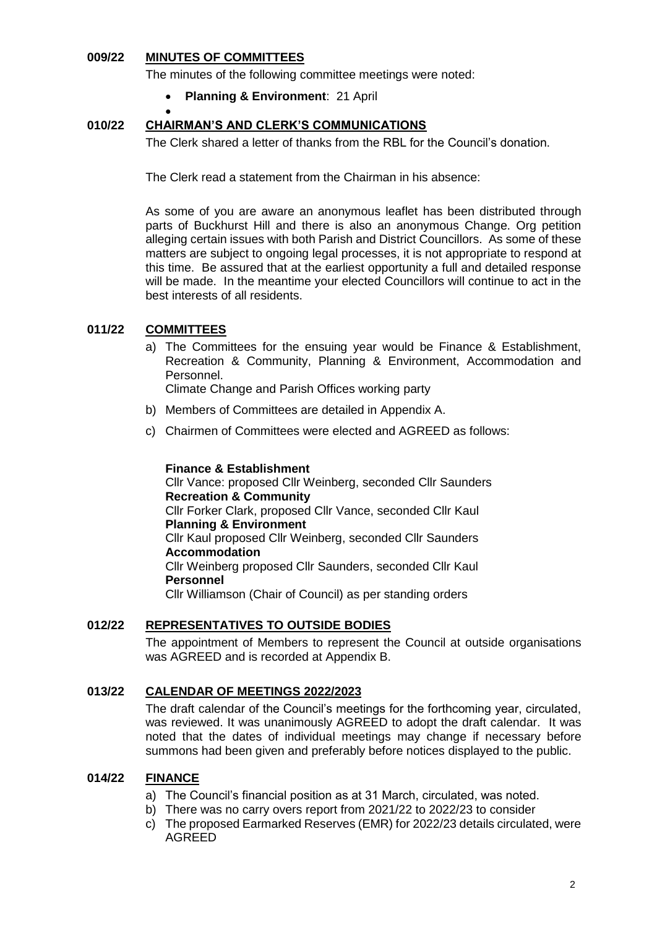### **009/22 MINUTES OF COMMITTEES**

The minutes of the following committee meetings were noted:

**Planning & Environment**: 21 April

#### $\bullet$ **010/22 CHAIRMAN'S AND CLERK'S COMMUNICATIONS**

The Clerk shared a letter of thanks from the RBL for the Council's donation.

The Clerk read a statement from the Chairman in his absence:

As some of you are aware an anonymous leaflet has been distributed through parts of Buckhurst Hill and there is also an anonymous Change. Org petition alleging certain issues with both Parish and District Councillors. As some of these matters are subject to ongoing legal processes, it is not appropriate to respond at this time. Be assured that at the earliest opportunity a full and detailed response will be made. In the meantime your elected Councillors will continue to act in the best interests of all residents.

## **011/22 COMMITTEES**

a) The Committees for the ensuing year would be Finance & Establishment, Recreation & Community, Planning & Environment, Accommodation and Personnel.

Climate Change and Parish Offices working party

- b) Members of Committees are detailed in Appendix A.
- c) Chairmen of Committees were elected and AGREED as follows:

#### **Finance & Establishment**

Cllr Vance: proposed Cllr Weinberg, seconded Cllr Saunders **Recreation & Community**  Cllr Forker Clark, proposed Cllr Vance, seconded Cllr Kaul **Planning & Environment**  Cllr Kaul proposed Cllr Weinberg, seconded Cllr Saunders **Accommodation** Cllr Weinberg proposed Cllr Saunders, seconded Cllr Kaul **Personnel** Cllr Williamson (Chair of Council) as per standing orders

#### **012/22 REPRESENTATIVES TO OUTSIDE BODIES**

The appointment of Members to represent the Council at outside organisations was AGREED and is recorded at Appendix B.

#### **013/22 CALENDAR OF MEETINGS 2022/2023**

The draft calendar of the Council's meetings for the forthcoming year, circulated, was reviewed. It was unanimously AGREED to adopt the draft calendar. It was noted that the dates of individual meetings may change if necessary before summons had been given and preferably before notices displayed to the public.

## **014/22 FINANCE**

- a) The Council's financial position as at 31 March, circulated, was noted.
- b) There was no carry overs report from 2021/22 to 2022/23 to consider
- c) The proposed Earmarked Reserves (EMR) for 2022/23 details circulated, were AGREED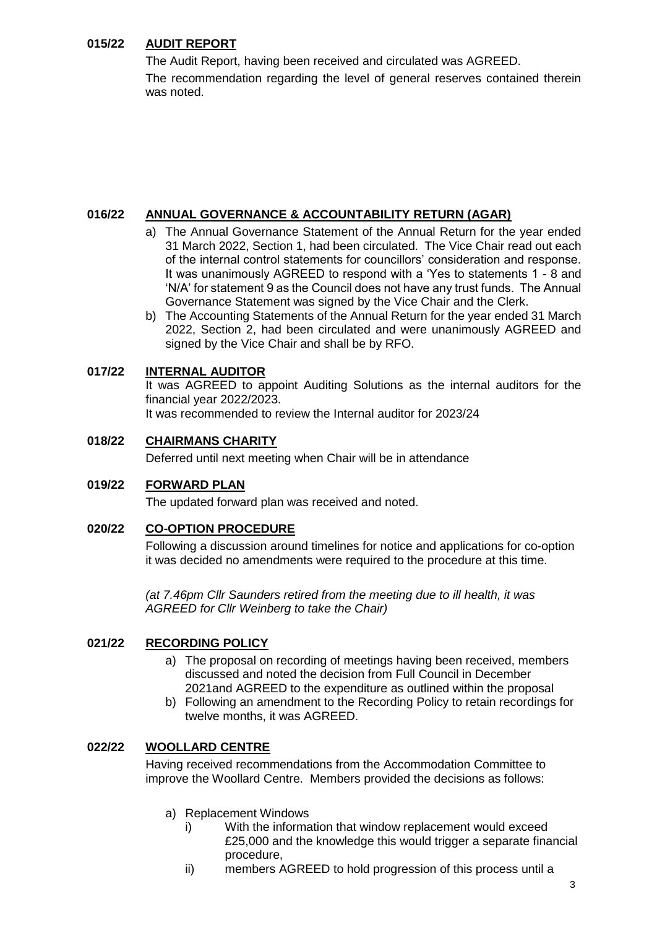## **015/22 AUDIT REPORT**

The Audit Report, having been received and circulated was AGREED. The recommendation regarding the level of general reserves contained therein was noted.

## **016/22 ANNUAL GOVERNANCE & ACCOUNTABILITY RETURN (AGAR)**

- a) The Annual Governance Statement of the Annual Return for the year ended 31 March 2022, Section 1, had been circulated. The Vice Chair read out each of the internal control statements for councillors' consideration and response. It was unanimously AGREED to respond with a 'Yes to statements 1 - 8 and 'N/A' for statement 9 as the Council does not have any trust funds. The Annual Governance Statement was signed by the Vice Chair and the Clerk.
- b) The Accounting Statements of the Annual Return for the year ended 31 March 2022, Section 2, had been circulated and were unanimously AGREED and signed by the Vice Chair and shall be by RFO.

## **017/22 INTERNAL AUDITOR**

It was AGREED to appoint Auditing Solutions as the internal auditors for the financial year 2022/2023.

It was recommended to review the Internal auditor for 2023/24

## **018/22 CHAIRMANS CHARITY**

Deferred until next meeting when Chair will be in attendance

## **019/22 FORWARD PLAN**

The updated forward plan was received and noted.

## **020/22 CO-OPTION PROCEDURE**

Following a discussion around timelines for notice and applications for co-option it was decided no amendments were required to the procedure at this time.

*(at 7.46pm Cllr Saunders retired from the meeting due to ill health, it was AGREED for Cllr Weinberg to take the Chair)*

## **021/22 RECORDING POLICY**

- a) The proposal on recording of meetings having been received, members discussed and noted the decision from Full Council in December 2021and AGREED to the expenditure as outlined within the proposal
- b) Following an amendment to the Recording Policy to retain recordings for twelve months, it was AGREED.

## **022/22 WOOLLARD CENTRE**

Having received recommendations from the Accommodation Committee to improve the Woollard Centre. Members provided the decisions as follows:

- a) Replacement Windows
	- i) With the information that window replacement would exceed £25,000 and the knowledge this would trigger a separate financial procedure,
	- ii) members AGREED to hold progression of this process until a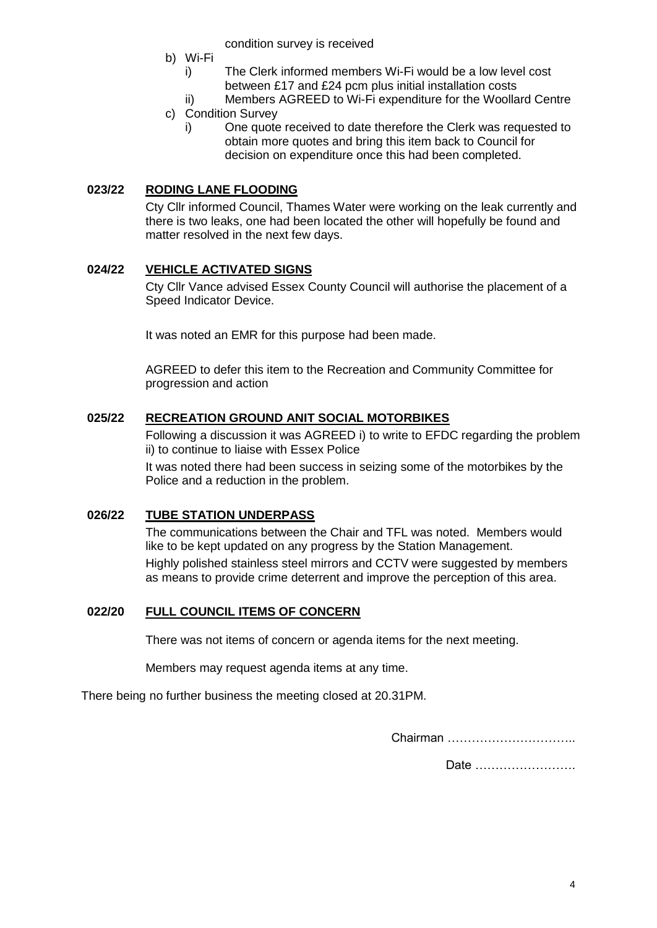condition survey is received

- b) Wi-Fi
	- i) The Clerk informed members Wi-Fi would be a low level cost between £17 and £24 pcm plus initial installation costs
- ii) Members AGREED to Wi-Fi expenditure for the Woollard Centre c) Condition Survey
	- i) One quote received to date therefore the Clerk was requested to obtain more quotes and bring this item back to Council for decision on expenditure once this had been completed.

## **023/22 RODING LANE FLOODING**

Cty Cllr informed Council, Thames Water were working on the leak currently and there is two leaks, one had been located the other will hopefully be found and matter resolved in the next few days.

## **024/22 VEHICLE ACTIVATED SIGNS**

Cty Cllr Vance advised Essex County Council will authorise the placement of a Speed Indicator Device.

It was noted an EMR for this purpose had been made.

AGREED to defer this item to the Recreation and Community Committee for progression and action

## **025/22 RECREATION GROUND ANIT SOCIAL MOTORBIKES**

Following a discussion it was AGREED i) to write to EFDC regarding the problem ii) to continue to liaise with Essex Police

It was noted there had been success in seizing some of the motorbikes by the Police and a reduction in the problem.

## **026/22 TUBE STATION UNDERPASS**

The communications between the Chair and TFL was noted. Members would like to be kept updated on any progress by the Station Management. Highly polished stainless steel mirrors and CCTV were suggested by members as means to provide crime deterrent and improve the perception of this area.

## **022/20 FULL COUNCIL ITEMS OF CONCERN**

There was not items of concern or agenda items for the next meeting.

Members may request agenda items at any time.

There being no further business the meeting closed at 20.31PM.

Chairman …………………………..

Date …………………….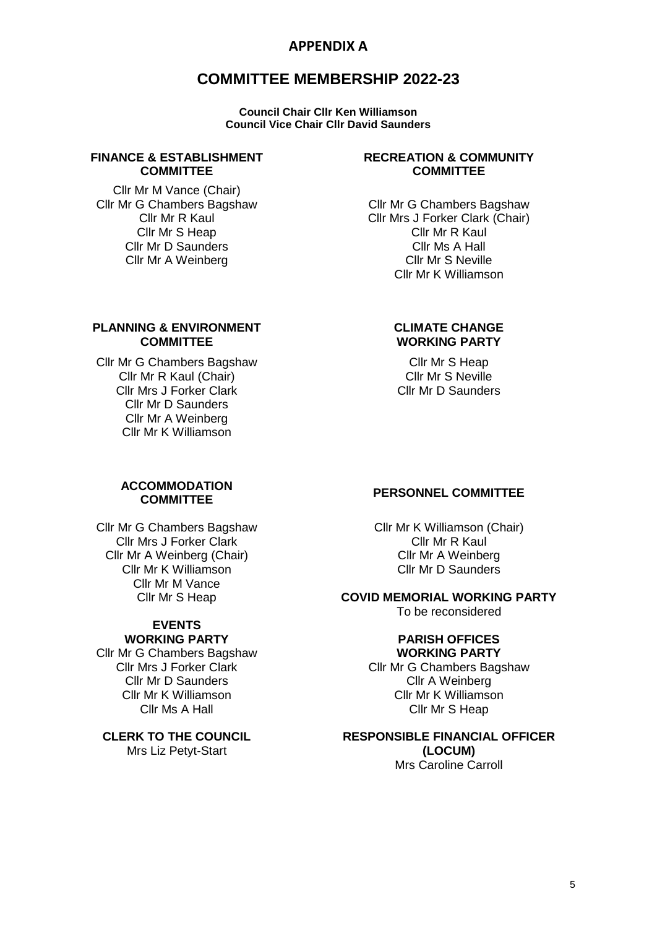## **APPENDIX A**

## **COMMITTEE MEMBERSHIP 2022-23**

**Council Chair Cllr Ken Williamson Council Vice Chair Cllr David Saunders**

#### **FINANCE & ESTABLISHMENT COMMITTEE**

Cllr Mr M Vance (Chair) Cllr Mr G Chambers Bagshaw Cllr Mr R Kaul Cllr Mr S Heap Cllr Mr D Saunders Cllr Mr A Weinberg

#### **PLANNING & ENVIRONMENT COMMITTEE**

Cllr Mr G Chambers Bagshaw Cllr Mr R Kaul (Chair) Cllr Mrs J Forker Clark Cllr Mr D Saunders Cllr Mr A Weinberg Cllr Mr K Williamson

#### **RECREATION & COMMUNITY COMMITTEE**

Cllr Mr G Chambers Bagshaw Cllr Mrs J Forker Clark (Chair) Cllr Mr R Kaul Cllr Ms A Hall Cllr Mr S Neville Cllr Mr K Williamson

### **CLIMATE CHANGE WORKING PARTY**

Cllr Mr S Heap Cllr Mr S Neville Cllr Mr D Saunders

# **ACCOMMODATION**

Cllr Mr G Chambers Bagshaw Cllr Mrs J Forker Clark Cllr Mr A Weinberg (Chair) Cllr Mr K Williamson Cllr Mr M Vance Cllr Mr S Heap

#### **EVENTS WORKING PARTY**

Cllr Mr G Chambers Bagshaw Cllr Mrs J Forker Clark Cllr Mr D Saunders Cllr Mr K Williamson Cllr Ms A Hall

**CLERK TO THE COUNCIL** Mrs Liz Petyt-Start

## **COMMITTEE PERSONNEL COMMITTEE**

Cllr Mr K Williamson (Chair) Cllr Mr R Kaul Cllr Mr A Weinberg Cllr Mr D Saunders

## **COVID MEMORIAL WORKING PARTY**

To be reconsidered

#### **PARISH OFFICES WORKING PARTY**

Cllr Mr G Chambers Bagshaw Cllr A Weinberg Cllr Mr K Williamson Cllr Mr S Heap

#### **RESPONSIBLE FINANCIAL OFFICER (LOCUM)**

Mrs Caroline Carroll